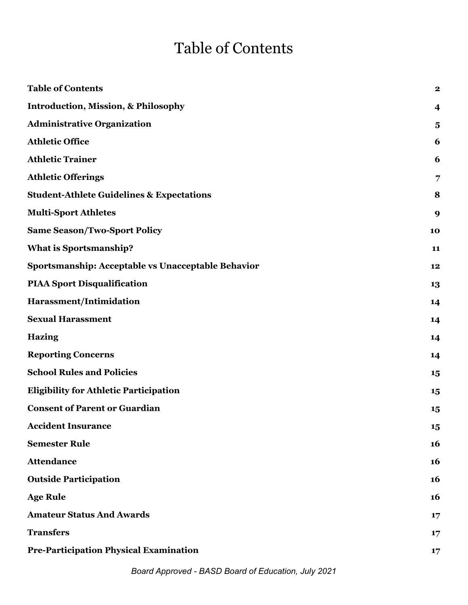# Table of Contents

| <b>Table of Contents</b>                             | $\mathbf 2$             |
|------------------------------------------------------|-------------------------|
|                                                      |                         |
| <b>Introduction, Mission, &amp; Philosophy</b>       | 4                       |
| <b>Administrative Organization</b>                   | $\overline{\mathbf{5}}$ |
| <b>Athletic Office</b>                               | 6                       |
| <b>Athletic Trainer</b>                              | 6                       |
| <b>Athletic Offerings</b>                            | 7                       |
| <b>Student-Athlete Guidelines &amp; Expectations</b> | 8                       |
| <b>Multi-Sport Athletes</b>                          | 9                       |
| <b>Same Season/Two-Sport Policy</b>                  | 10                      |
| <b>What is Sportsmanship?</b>                        | 11                      |
| Sportsmanship: Acceptable vs Unacceptable Behavior   | 12                      |
| <b>PIAA Sport Disqualification</b>                   | 13                      |
| Harassment/Intimidation                              | 14                      |
| <b>Sexual Harassment</b>                             | 14                      |
| <b>Hazing</b>                                        | 14                      |
| <b>Reporting Concerns</b>                            | 14                      |
| <b>School Rules and Policies</b>                     | 15                      |
| <b>Eligibility for Athletic Participation</b>        | 15                      |
| <b>Consent of Parent or Guardian</b>                 | 15                      |
| <b>Accident Insurance</b>                            | 15                      |
| <b>Semester Rule</b>                                 | 16                      |
| <b>Attendance</b>                                    | 16                      |
| <b>Outside Participation</b>                         | <b>16</b>               |
| <b>Age Rule</b>                                      | 16                      |
| <b>Amateur Status And Awards</b>                     | 17                      |
| <b>Transfers</b>                                     | 17                      |
| <b>Pre-Participation Physical Examination</b>        | 17                      |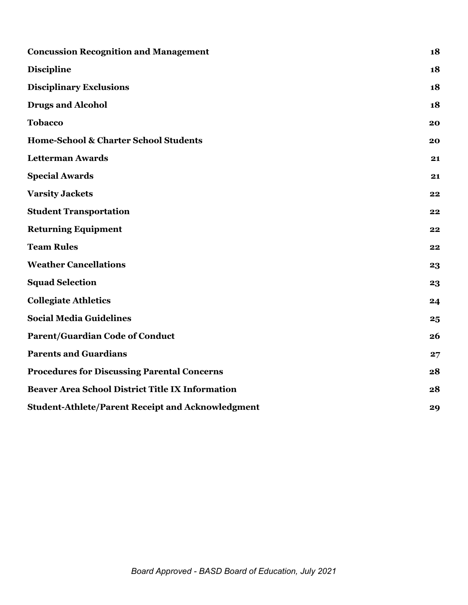| <b>Concussion Recognition and Management</b>             |    |
|----------------------------------------------------------|----|
| <b>Discipline</b>                                        | 18 |
| <b>Disciplinary Exclusions</b>                           | 18 |
| <b>Drugs and Alcohol</b>                                 | 18 |
| <b>Tobacco</b>                                           | 20 |
| Home-School & Charter School Students                    | 20 |
| <b>Letterman Awards</b>                                  | 21 |
| <b>Special Awards</b>                                    | 21 |
| <b>Varsity Jackets</b>                                   | 22 |
| <b>Student Transportation</b>                            | 22 |
| <b>Returning Equipment</b>                               | 22 |
| <b>Team Rules</b>                                        | 22 |
| <b>Weather Cancellations</b>                             | 23 |
| <b>Squad Selection</b>                                   | 23 |
| <b>Collegiate Athletics</b>                              | 24 |
| <b>Social Media Guidelines</b>                           | 25 |
| <b>Parent/Guardian Code of Conduct</b>                   | 26 |
| <b>Parents and Guardians</b>                             | 27 |
| <b>Procedures for Discussing Parental Concerns</b>       | 28 |
| <b>Beaver Area School District Title IX Information</b>  | 28 |
| <b>Student-Athlete/Parent Receipt and Acknowledgment</b> |    |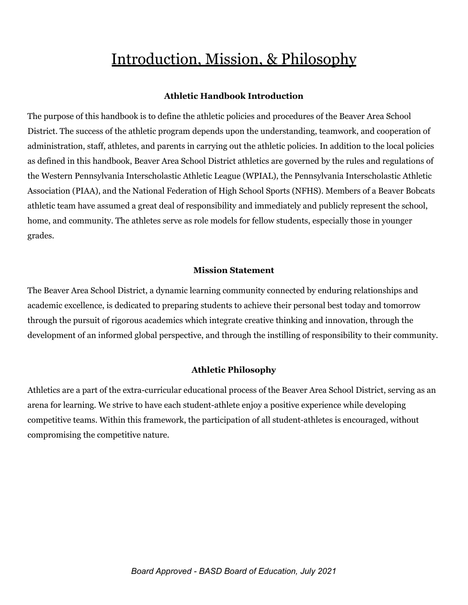### Introduction, Mission, & Philosophy

#### **Athletic Handbook Introduction**

The purpose of this handbook is to define the athletic policies and procedures of the Beaver Area School District. The success of the athletic program depends upon the understanding, teamwork, and cooperation of administration, staff, athletes, and parents in carrying out the athletic policies. In addition to the local policies as defined in this handbook, Beaver Area School District athletics are governed by the rules and regulations of the Western Pennsylvania Interscholastic Athletic League (WPIAL), the Pennsylvania Interscholastic Athletic Association (PIAA), and the National Federation of High School Sports (NFHS). Members of a Beaver Bobcats athletic team have assumed a great deal of responsibility and immediately and publicly represent the school, home, and community. The athletes serve as role models for fellow students, especially those in younger grades.

#### **Mission Statement**

The Beaver Area School District, a dynamic learning community connected by enduring relationships and academic excellence, is dedicated to preparing students to achieve their personal best today and tomorrow through the pursuit of rigorous academics which integrate creative thinking and innovation, through the development of an informed global perspective, and through the instilling of responsibility to their community.

#### **Athletic Philosophy**

Athletics are a part of the extra-curricular educational process of the Beaver Area School District, serving as an arena for learning. We strive to have each student-athlete enjoy a positive experience while developing competitive teams. Within this framework, the participation of all student-athletes is encouraged, without compromising the competitive nature.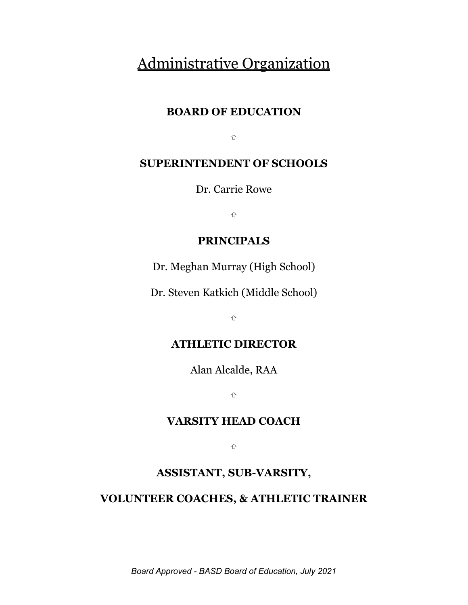#### Administrative Organization

#### **BOARD OF EDUCATION**

⇧

#### **SUPERINTENDENT OF SCHOOLS**

Dr. Carrie Rowe

⇧

#### **PRINCIPALS**

Dr. Meghan Murray (High School)

Dr. Steven Katkich (Middle School)

⇧

#### **ATHLETIC DIRECTOR**

Alan Alcalde, RAA

⇧

#### **VARSITY HEAD COACH**

⇧

#### **ASSISTANT, SUB-VARSITY,**

#### **VOLUNTEER COACHES, & ATHLETIC TRAINER**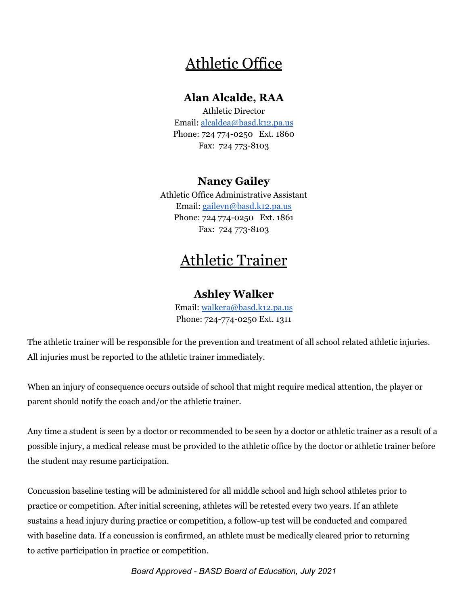#### Athletic Office

#### **Alan Alcalde, RAA**

Athletic Director Email: alcaldea@basd.k12.pa.us Phone: 724 774-0250 Ext. 1860 Fax: 724 773-8103

#### **Nancy Gailey**

Athletic Office Administrative Assistant Email: gaileyn@basd.k12.pa.us Phone: 724 774-0250 Ext. 1861 Fax: 724 773-8103

#### Athletic Trainer

#### **Ashley Walker**

Email: walkera@basd.k12.pa.us Phone: 724-774-0250 Ext. 1311

The athletic trainer will be responsible for the prevention and treatment of all school related athletic injuries. All injuries must be reported to the athletic trainer immediately.

When an injury of consequence occurs outside of school that might require medical attention, the player or parent should notify the coach and/or the athletic trainer.

Any time a student is seen by a doctor or recommended to be seen by a doctor or athletic trainer as a result of a possible injury, a medical release must be provided to the athletic office by the doctor or athletic trainer before the student may resume participation.

Concussion baseline testing will be administered for all middle school and high school athletes prior to practice or competition. After initial screening, athletes will be retested every two years. If an athlete sustains a head injury during practice or competition, a follow-up test will be conducted and compared with baseline data. If a concussion is confirmed, an athlete must be medically cleared prior to returning to active participation in practice or competition.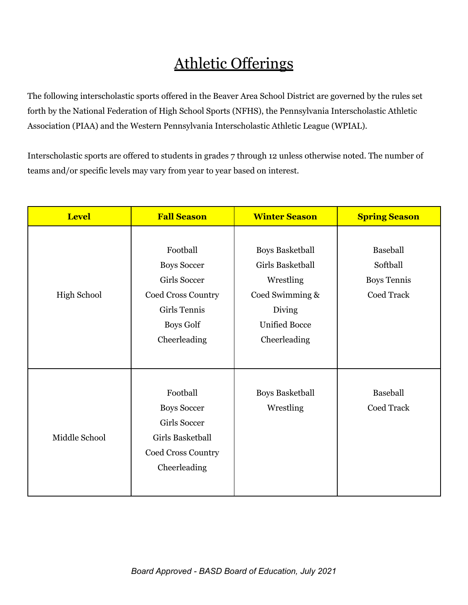# Athletic Offerings

The following interscholastic sports offered in the Beaver Area School District are governed by the rules set forth by the National Federation of High School Sports (NFHS), the Pennsylvania Interscholastic Athletic Association (PIAA) and the Western Pennsylvania Interscholastic Athletic League (WPIAL).

Interscholastic sports are offered to students in grades 7 through 12 unless otherwise noted. The number of teams and/or specific levels may vary from year to year based on interest.

| <b>Level</b>       | <b>Fall Season</b>                                                                                                                     | <b>Winter Season</b>                                                                                                         | <b>Spring Season</b>                                            |
|--------------------|----------------------------------------------------------------------------------------------------------------------------------------|------------------------------------------------------------------------------------------------------------------------------|-----------------------------------------------------------------|
| <b>High School</b> | Football<br><b>Boys Soccer</b><br><b>Girls Soccer</b><br>Coed Cross Country<br><b>Girls Tennis</b><br><b>Boys Golf</b><br>Cheerleading | <b>Boys Basketball</b><br>Girls Basketball<br>Wrestling<br>Coed Swimming &<br>Diving<br><b>Unified Bocce</b><br>Cheerleading | <b>Baseball</b><br>Softball<br><b>Boys Tennis</b><br>Coed Track |
| Middle School      | Football<br><b>Boys Soccer</b><br><b>Girls Soccer</b><br>Girls Basketball<br>Coed Cross Country<br>Cheerleading                        | <b>Boys Basketball</b><br>Wrestling                                                                                          | Baseball<br>Coed Track                                          |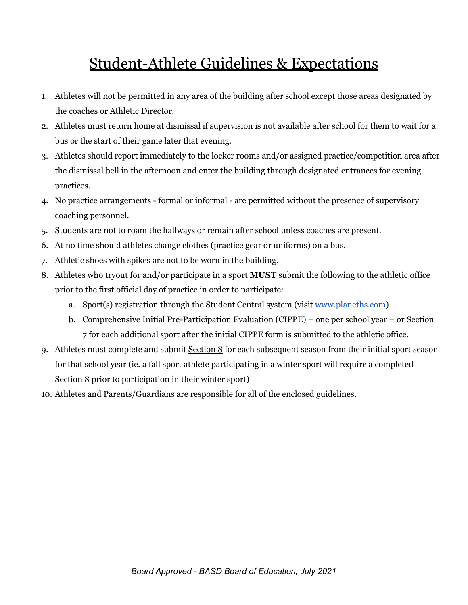# Student-Athlete Guidelines & Expectations

- 1. Athletes will not be permitted in any area of the building after school except those areas designated by the coaches or Athletic Director.
- 2. Athletes must return home at dismissal if supervision is not available after school for them to wait for a bus or the start of their game later that evening.
- 3. Athletes should report immediately to the locker rooms and/or assigned practice/competition area after the dismissal bell in the afternoon and enter the building through designated entrances for evening practices.
- 4. No practice arrangements formal or informal are permitted without the presence of supervisory coaching personnel.
- 5. Students are not to roam the hallways or remain after school unless coaches are present.
- 6. At no time should athletes change clothes (practice gear or uniforms) on a bus.
- 7. Athletic shoes with spikes are not to be worn in the building.
- 8. Athletes who tryout for and/or participate in a sport **MUST** submit the following to the athletic office prior to the first official day of practice in order to participate:
	- a. Sport(s) registration through the Student Central system (visit www.planeths.com)
	- b. Comprehensive Initial Pre-Participation Evaluation (CIPPE) one per school year or Section 7 for each additional sport after the initial CIPPE form is submitted to the athletic office.
- 9. Athletes must complete and submit Section 8 for each subsequent season from their initial sport season for that school year (ie. a fall sport athlete participating in a winter sport will require a completed Section 8 prior to participation in their winter sport)
- 10. Athletes and Parents/Guardians are responsible for all of the enclosed guidelines.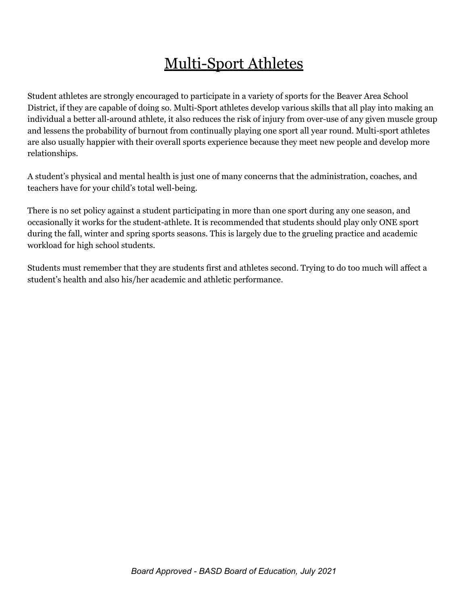## Multi-Sport Athletes

Student athletes are strongly encouraged to participate in a variety of sports for the Beaver Area School District, if they are capable of doing so. Multi-Sport athletes develop various skills that all play into making an individual a better all-around athlete, it also reduces the risk of injury from over-use of any given muscle group and lessens the probability of burnout from continually playing one sport all year round. Multi-sport athletes are also usually happier with their overall sports experience because they meet new people and develop more relationships.

A student's physical and mental health is just one of many concerns that the administration, coaches, and teachers have for your child's total well-being.

There is no set policy against a student participating in more than one sport during any one season, and occasionally it works for the student-athlete. It is recommended that students should play only ONE sport during the fall, winter and spring sports seasons. This is largely due to the grueling practice and academic workload for high school students.

Students must remember that they are students first and athletes second. Trying to do too much will affect a student's health and also his/her academic and athletic performance.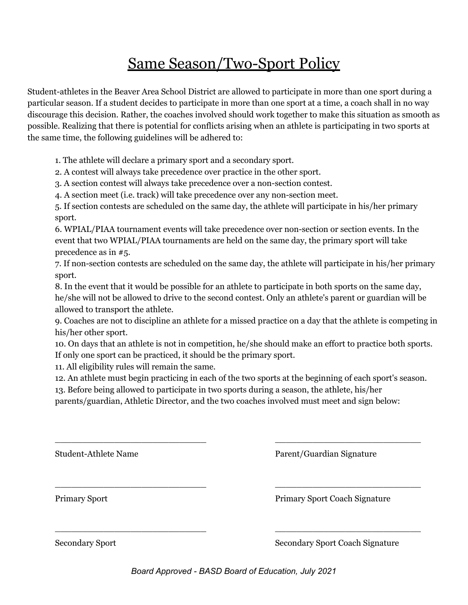### Same Season/Two-Sport Policy

Student-athletes in the Beaver Area School District are allowed to participate in more than one sport during a particular season. If a student decides to participate in more than one sport at a time, a coach shall in no way discourage this decision. Rather, the coaches involved should work together to make this situation as smooth as possible. Realizing that there is potential for conflicts arising when an athlete is participating in two sports at the same time, the following guidelines will be adhered to:

1. The athlete will declare a primary sport and a secondary sport.

2. A contest will always take precedence over practice in the other sport.

3. A section contest will always take precedence over a non-section contest.

4. A section meet (i.e. track) will take precedence over any non-section meet.

5. If section contests are scheduled on the same day, the athlete will participate in his/her primary sport.

6. WPIAL/PIAA tournament events will take precedence over non-section or section events. In the event that two WPIAL/PIAA tournaments are held on the same day, the primary sport will take precedence as in #5.

7. If non-section contests are scheduled on the same day, the athlete will participate in his/her primary sport.

8. In the event that it would be possible for an athlete to participate in both sports on the same day, he/she will not be allowed to drive to the second contest. Only an athlete's parent or guardian will be allowed to transport the athlete.

9. Coaches are not to discipline an athlete for a missed practice on a day that the athlete is competing in his/her other sport.

10. On days that an athlete is not in competition, he/she should make an effort to practice both sports. If only one sport can be practiced, it should be the primary sport.

11. All eligibility rules will remain the same.

12. An athlete must begin practicing in each of the two sports at the beginning of each sport's season.

\_\_\_\_\_\_\_\_\_\_\_\_\_\_\_\_\_\_\_\_\_\_\_\_\_\_\_\_ \_\_\_\_\_\_\_\_\_\_\_\_\_\_\_\_\_\_\_\_\_\_\_\_\_\_\_

\_\_\_\_\_\_\_\_\_\_\_\_\_\_\_\_\_\_\_\_\_\_\_\_\_\_\_\_ \_\_\_\_\_\_\_\_\_\_\_\_\_\_\_\_\_\_\_\_\_\_\_\_\_\_\_

\_\_\_\_\_\_\_\_\_\_\_\_\_\_\_\_\_\_\_\_\_\_\_\_\_\_\_\_ \_\_\_\_\_\_\_\_\_\_\_\_\_\_\_\_\_\_\_\_\_\_\_\_\_\_\_

13. Before being allowed to participate in two sports during a season, the athlete, his/her

parents/guardian, Athletic Director, and the two coaches involved must meet and sign below:

Student-Athlete Name Parent/Guardian Signature

Primary Sport Primary Sport Coach Signature

Secondary Sport Secondary Sport Coach Signature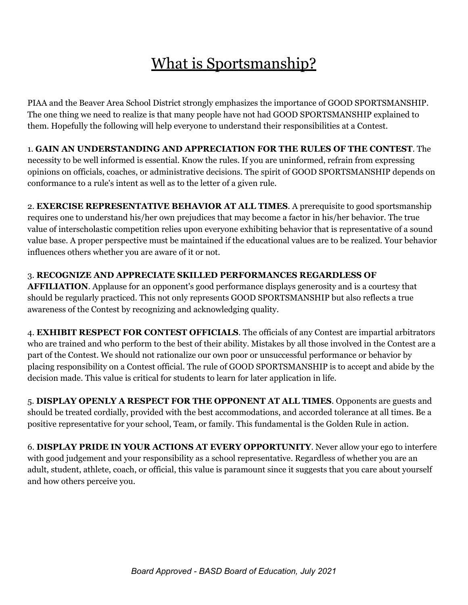# What is Sportsmanship?

PIAA and the Beaver Area School District strongly emphasizes the importance of GOOD SPORTSMANSHIP. The one thing we need to realize is that many people have not had GOOD SPORTSMANSHIP explained to them. Hopefully the following will help everyone to understand their responsibilities at a Contest.

1. **GAIN AN UNDERSTANDING AND APPRECIATION FOR THE RULES OF THE CONTEST**. The necessity to be well informed is essential. Know the rules. If you are uninformed, refrain from expressing opinions on officials, coaches, or administrative decisions. The spirit of GOOD SPORTSMANSHIP depends on conformance to a rule's intent as well as to the letter of a given rule.

2. **EXERCISE REPRESENTATIVE BEHAVIOR AT ALL TIMES**. A prerequisite to good sportsmanship requires one to understand his/her own prejudices that may become a factor in his/her behavior. The true value of interscholastic competition relies upon everyone exhibiting behavior that is representative of a sound value base. A proper perspective must be maintained if the educational values are to be realized. Your behavior influences others whether you are aware of it or not.

#### 3. **RECOGNIZE AND APPRECIATE SKILLED PERFORMANCES REGARDLESS OF**

**AFFILIATION**. Applause for an opponent's good performance displays generosity and is a courtesy that should be regularly practiced. This not only represents GOOD SPORTSMANSHIP but also reflects a true awareness of the Contest by recognizing and acknowledging quality.

4. **EXHIBIT RESPECT FOR CONTEST OFFICIALS**. The officials of any Contest are impartial arbitrators who are trained and who perform to the best of their ability. Mistakes by all those involved in the Contest are a part of the Contest. We should not rationalize our own poor or unsuccessful performance or behavior by placing responsibility on a Contest official. The rule of GOOD SPORTSMANSHIP is to accept and abide by the decision made. This value is critical for students to learn for later application in life.

5. **DISPLAY OPENLY A RESPECT FOR THE OPPONENT AT ALL TIMES**. Opponents are guests and should be treated cordially, provided with the best accommodations, and accorded tolerance at all times. Be a positive representative for your school, Team, or family. This fundamental is the Golden Rule in action.

6. **DISPLAY PRIDE IN YOUR ACTIONS AT EVERY OPPORTUNITY**. Never allow your ego to interfere with good judgement and your responsibility as a school representative. Regardless of whether you are an adult, student, athlete, coach, or official, this value is paramount since it suggests that you care about yourself and how others perceive you.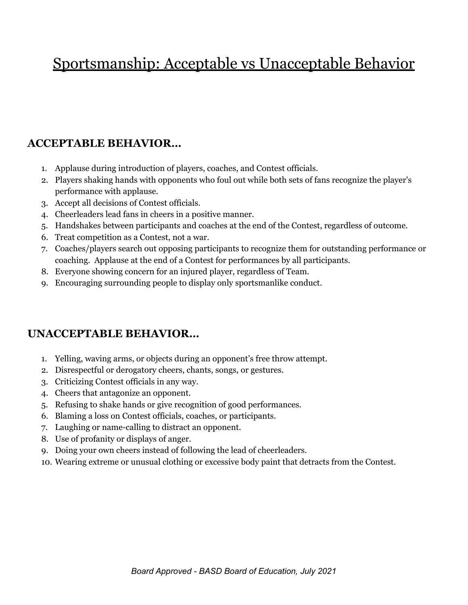# Sportsmanship: Acceptable vs Unacceptable Behavior

#### **ACCEPTABLE BEHAVIOR…**

- 1. Applause during introduction of players, coaches, and Contest officials.
- 2. Players shaking hands with opponents who foul out while both sets of fans recognize the player's performance with applause.
- 3. Accept all decisions of Contest officials.
- 4. Cheerleaders lead fans in cheers in a positive manner.
- 5. Handshakes between participants and coaches at the end of the Contest, regardless of outcome.
- 6. Treat competition as a Contest, not a war.
- 7. Coaches/players search out opposing participants to recognize them for outstanding performance or coaching. Applause at the end of a Contest for performances by all participants.
- 8. Everyone showing concern for an injured player, regardless of Team.
- 9. Encouraging surrounding people to display only sportsmanlike conduct.

#### **UNACCEPTABLE BEHAVIOR…**

- 1. Yelling, waving arms, or objects during an opponent's free throw attempt.
- 2. Disrespectful or derogatory cheers, chants, songs, or gestures.
- 3. Criticizing Contest officials in any way.
- 4. Cheers that antagonize an opponent.
- 5. Refusing to shake hands or give recognition of good performances.
- 6. Blaming a loss on Contest officials, coaches, or participants.
- 7. Laughing or name-calling to distract an opponent.
- 8. Use of profanity or displays of anger.
- 9. Doing your own cheers instead of following the lead of cheerleaders.
- 10. Wearing extreme or unusual clothing or excessive body paint that detracts from the Contest.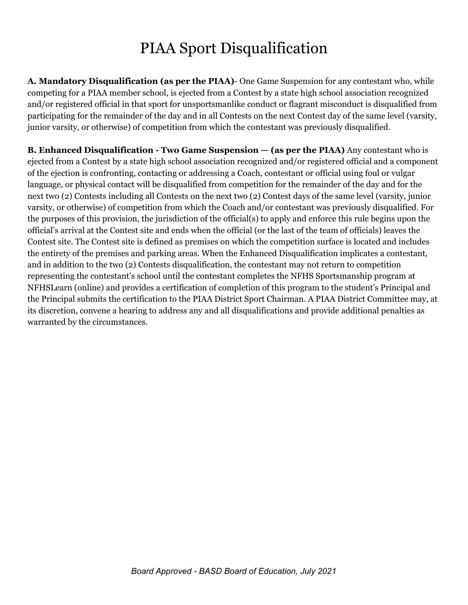### PIAA Sport Disqualification

**A. Mandatory Disqualification (as per the PIAA)**- One Game Suspension for any contestant who, while competing for a PIAA member school, is ejected from a Contest by a state high school association recognized and/or registered official in that sport for unsportsmanlike conduct or flagrant misconduct is disqualified from participating for the remainder of the day and in all Contests on the next Contest day of the same level (varsity, junior varsity, or otherwise) of competition from which the contestant was previously disqualified.

**B. Enhanced Disqualification - Two Game Suspension — (as per the PIAA)** Any contestant who is ejected from a Contest by a state high school association recognized and/or registered official and a component of the ejection is confronting, contacting or addressing a Coach, contestant or official using foul or vulgar language, or physical contact will be disqualified from competition for the remainder of the day and for the next two (2) Contests including all Contests on the next two (2) Contest days of the same level (varsity, junior varsity, or otherwise) of competition from which the Coach and/or contestant was previously disqualified. For the purposes of this provision, the jurisdiction of the official(s) to apply and enforce this rule begins upon the official's arrival at the Contest site and ends when the official (or the last of the team of officials) leaves the Contest site. The Contest site is defined as premises on which the competition surface is located and includes the entirety of the premises and parking areas. When the Enhanced Disqualification implicates a contestant, and in addition to the two (2) Contests disqualification, the contestant may not return to competition representing the contestant's school until the contestant completes the NFHS Sportsmanship program at NFHSLearn (online) and provides a certification of completion of this program to the student's Principal and the Principal submits the certification to the PIAA District Sport Chairman. A PIAA District Committee may, at its discretion, convene a hearing to address any and all disqualifications and provide additional penalties as warranted by the circumstances.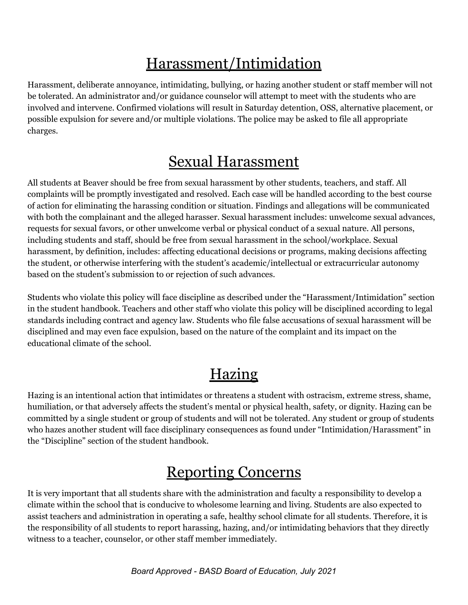# Harassment/Intimidation

Harassment, deliberate annoyance, intimidating, bullying, or hazing another student or staff member will not be tolerated. An administrator and/or guidance counselor will attempt to meet with the students who are involved and intervene. Confirmed violations will result in Saturday detention, OSS, alternative placement, or possible expulsion for severe and/or multiple violations. The police may be asked to file all appropriate charges.

### Sexual Harassment

All students at Beaver should be free from sexual harassment by other students, teachers, and staff. All complaints will be promptly investigated and resolved. Each case will be handled according to the best course of action for eliminating the harassing condition or situation. Findings and allegations will be communicated with both the complainant and the alleged harasser. Sexual harassment includes: unwelcome sexual advances, requests for sexual favors, or other unwelcome verbal or physical conduct of a sexual nature. All persons, including students and staff, should be free from sexual harassment in the school/workplace. Sexual harassment, by definition, includes: affecting educational decisions or programs, making decisions affecting the student, or otherwise interfering with the student's academic/intellectual or extracurricular autonomy based on the student's submission to or rejection of such advances.

Students who violate this policy will face discipline as described under the "Harassment/Intimidation" section in the student handbook. Teachers and other staff who violate this policy will be disciplined according to legal standards including contract and agency law. Students who file false accusations of sexual harassment will be disciplined and may even face expulsion, based on the nature of the complaint and its impact on the educational climate of the school.

# Hazing

Hazing is an intentional action that intimidates or threatens a student with ostracism, extreme stress, shame, humiliation, or that adversely affects the student's mental or physical health, safety, or dignity. Hazing can be committed by a single student or group of students and will not be tolerated. Any student or group of students who hazes another student will face disciplinary consequences as found under "Intimidation/Harassment" in the "Discipline" section of the student handbook.

### Reporting Concerns

It is very important that all students share with the administration and faculty a responsibility to develop a climate within the school that is conducive to wholesome learning and living. Students are also expected to assist teachers and administration in operating a safe, healthy school climate for all students. Therefore, it is the responsibility of all students to report harassing, hazing, and/or intimidating behaviors that they directly witness to a teacher, counselor, or other staff member immediately.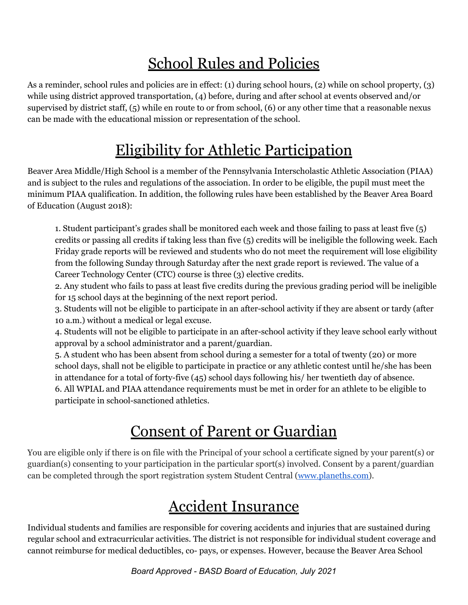# School Rules and Policies

As a reminder, school rules and policies are in effect: (1) during school hours, (2) while on school property, (3) while using district approved transportation, (4) before, during and after school at events observed and/or supervised by district staff, (5) while en route to or from school, (6) or any other time that a reasonable nexus can be made with the educational mission or representation of the school.

## Eligibility for Athletic Participation

Beaver Area Middle/High School is a member of the Pennsylvania Interscholastic Athletic Association (PIAA) and is subject to the rules and regulations of the association. In order to be eligible, the pupil must meet the minimum PIAA qualification. In addition, the following rules have been established by the Beaver Area Board of Education (August 2018):

1. Student participant's grades shall be monitored each week and those failing to pass at least five (5) credits or passing all credits if taking less than five (5) credits will be ineligible the following week. Each Friday grade reports will be reviewed and students who do not meet the requirement will lose eligibility from the following Sunday through Saturday after the next grade report is reviewed. The value of a Career Technology Center (CTC) course is three (3) elective credits.

2. Any student who fails to pass at least five credits during the previous grading period will be ineligible for 15 school days at the beginning of the next report period.

3. Students will not be eligible to participate in an after-school activity if they are absent or tardy (after 10 a.m.) without a medical or legal excuse.

4. Students will not be eligible to participate in an after-school activity if they leave school early without approval by a school administrator and a parent/guardian.

5. A student who has been absent from school during a semester for a total of twenty (20) or more school days, shall not be eligible to participate in practice or any athletic contest until he/she has been in attendance for a total of forty-five (45) school days following his/ her twentieth day of absence. 6. All WPIAL and PIAA attendance requirements must be met in order for an athlete to be eligible to participate in school-sanctioned athletics.

# Consent of Parent or Guardian

You are eligible only if there is on file with the Principal of your school a certificate signed by your parent(s) or guardian(s) consenting to your participation in the particular sport(s) involved. Consent by a parent/guardian can be completed through the sport registration system Student Central (www.planeths.com).

### Accident Insurance

Individual students and families are responsible for covering accidents and injuries that are sustained during regular school and extracurricular activities. The district is not responsible for individual student coverage and cannot reimburse for medical deductibles, co- pays, or expenses. However, because the Beaver Area School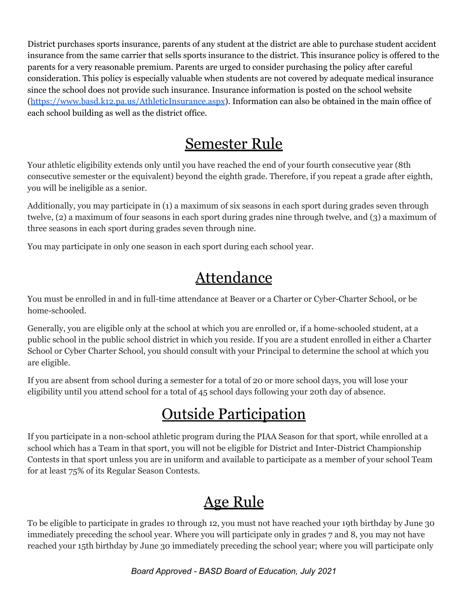District purchases sports insurance, parents of any student at the district are able to purchase student accident insurance from the same carrier that sells sports insurance to the district. This insurance policy is offered to the parents for a very reasonable premium. Parents are urged to consider purchasing the policy after careful consideration. This policy is especially valuable when students are not covered by adequate medical insurance since the school does not provide such insurance. Insurance information is posted on the school website (https://www.basd.k12.pa.us/AthleticInsurance.aspx). Information can also be obtained in the main office of each school building as well as the district office.

#### Semester Rule

Your athletic eligibility extends only until you have reached the end of your fourth consecutive year (8th consecutive semester or the equivalent) beyond the eighth grade. Therefore, if you repeat a grade after eighth, you will be ineligible as a senior.

Additionally, you may participate in (1) a maximum of six seasons in each sport during grades seven through twelve, (2) a maximum of four seasons in each sport during grades nine through twelve, and (3) a maximum of three seasons in each sport during grades seven through nine.

You may participate in only one season in each sport during each school year.

### **Attendance**

You must be enrolled in and in full-time attendance at Beaver or a Charter or Cyber-Charter School, or be home-schooled.

Generally, you are eligible only at the school at which you are enrolled or, if a home-schooled student, at a public school in the public school district in which you reside. If you are a student enrolled in either a Charter School or Cyber Charter School, you should consult with your Principal to determine the school at which you are eligible.

If you are absent from school during a semester for a total of 20 or more school days, you will lose your eligibility until you attend school for a total of 45 school days following your 20th day of absence.

# Outside Participation

If you participate in a non-school athletic program during the PIAA Season for that sport, while enrolled at a school which has a Team in that sport, you will not be eligible for District and Inter-District Championship Contests in that sport unless you are in uniform and available to participate as a member of your school Team for at least 75% of its Regular Season Contests.

# Age Rule

To be eligible to participate in grades 10 through 12, you must not have reached your 19th birthday by June 30 immediately preceding the school year. Where you will participate only in grades 7 and 8, you may not have reached your 15th birthday by June 30 immediately preceding the school year; where you will participate only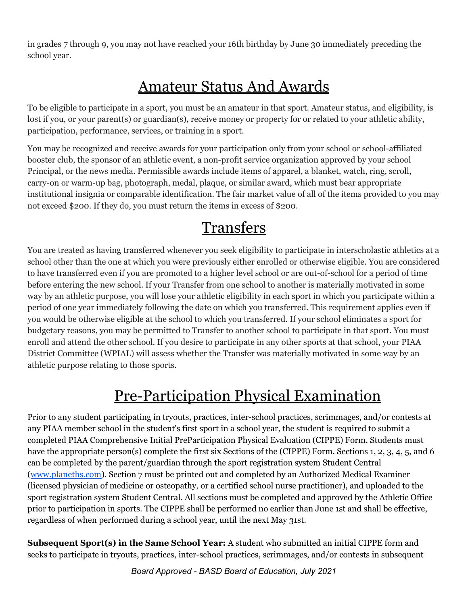in grades 7 through 9, you may not have reached your 16th birthday by June 30 immediately preceding the school year.

# Amateur Status And Awards

To be eligible to participate in a sport, you must be an amateur in that sport. Amateur status, and eligibility, is lost if you, or your parent(s) or guardian(s), receive money or property for or related to your athletic ability, participation, performance, services, or training in a sport.

You may be recognized and receive awards for your participation only from your school or school-affiliated booster club, the sponsor of an athletic event, a non-profit service organization approved by your school Principal, or the news media. Permissible awards include items of apparel, a blanket, watch, ring, scroll, carry-on or warm-up bag, photograph, medal, plaque, or similar award, which must bear appropriate institutional insignia or comparable identification. The fair market value of all of the items provided to you may not exceed \$200. If they do, you must return the items in excess of \$200.

## Transfers

You are treated as having transferred whenever you seek eligibility to participate in interscholastic athletics at a school other than the one at which you were previously either enrolled or otherwise eligible. You are considered to have transferred even if you are promoted to a higher level school or are out-of-school for a period of time before entering the new school. If your Transfer from one school to another is materially motivated in some way by an athletic purpose, you will lose your athletic eligibility in each sport in which you participate within a period of one year immediately following the date on which you transferred. This requirement applies even if you would be otherwise eligible at the school to which you transferred. If your school eliminates a sport for budgetary reasons, you may be permitted to Transfer to another school to participate in that sport. You must enroll and attend the other school. If you desire to participate in any other sports at that school, your PIAA District Committee (WPIAL) will assess whether the Transfer was materially motivated in some way by an athletic purpose relating to those sports.

### Pre-Participation Physical Examination

Prior to any student participating in tryouts, practices, inter-school practices, scrimmages, and/or contests at any PIAA member school in the student's first sport in a school year, the student is required to submit a completed PIAA Comprehensive Initial PreParticipation Physical Evaluation (CIPPE) Form. Students must have the appropriate person(s) complete the first six Sections of the (CIPPE) Form. Sections 1, 2, 3, 4, 5, and 6 can be completed by the parent/guardian through the sport registration system Student Central (www.planeths.com). Section 7 must be printed out and completed by an Authorized Medical Examiner (licensed physician of medicine or osteopathy, or a certified school nurse practitioner), and uploaded to the sport registration system Student Central. All sections must be completed and approved by the Athletic Office prior to participation in sports. The CIPPE shall be performed no earlier than June 1st and shall be effective, regardless of when performed during a school year, until the next May 31st.

**Subsequent Sport(s) in the Same School Year:** A student who submitted an initial CIPPE form and seeks to participate in tryouts, practices, inter-school practices, scrimmages, and/or contests in subsequent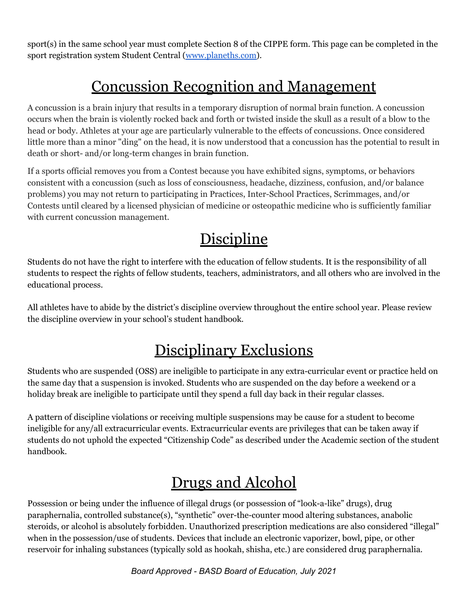sport(s) in the same school year must complete Section 8 of the CIPPE form. This page can be completed in the sport registration system Student Central (www.planeths.com).

## Concussion Recognition and Management

A concussion is a brain injury that results in a temporary disruption of normal brain function. A concussion occurs when the brain is violently rocked back and forth or twisted inside the skull as a result of a blow to the head or body. Athletes at your age are particularly vulnerable to the effects of concussions. Once considered little more than a minor "ding" on the head, it is now understood that a concussion has the potential to result in death or short- and/or long-term changes in brain function.

If a sports official removes you from a Contest because you have exhibited signs, symptoms, or behaviors consistent with a concussion (such as loss of consciousness, headache, dizziness, confusion, and/or balance problems) you may not return to participating in Practices, Inter-School Practices, Scrimmages, and/or Contests until cleared by a licensed physician of medicine or osteopathic medicine who is sufficiently familiar with current concussion management.

## **Discipline**

Students do not have the right to interfere with the education of fellow students. It is the responsibility of all students to respect the rights of fellow students, teachers, administrators, and all others who are involved in the educational process.

All athletes have to abide by the district's discipline overview throughout the entire school year. Please review the discipline overview in your school's student handbook.

### Disciplinary Exclusions

Students who are suspended (OSS) are ineligible to participate in any extra-curricular event or practice held on the same day that a suspension is invoked. Students who are suspended on the day before a weekend or a holiday break are ineligible to participate until they spend a full day back in their regular classes.

A pattern of discipline violations or receiving multiple suspensions may be cause for a student to become ineligible for any/all extracurricular events. Extracurricular events are privileges that can be taken away if students do not uphold the expected "Citizenship Code" as described under the Academic section of the student handbook.

# Drugs and Alcohol

Possession or being under the influence of illegal drugs (or possession of "look-a-like" drugs), drug paraphernalia, controlled substance(s), "synthetic" over-the-counter mood altering substances, anabolic steroids, or alcohol is absolutely forbidden. Unauthorized prescription medications are also considered "illegal" when in the possession/use of students. Devices that include an electronic vaporizer, bowl, pipe, or other reservoir for inhaling substances (typically sold as hookah, shisha, etc.) are considered drug paraphernalia.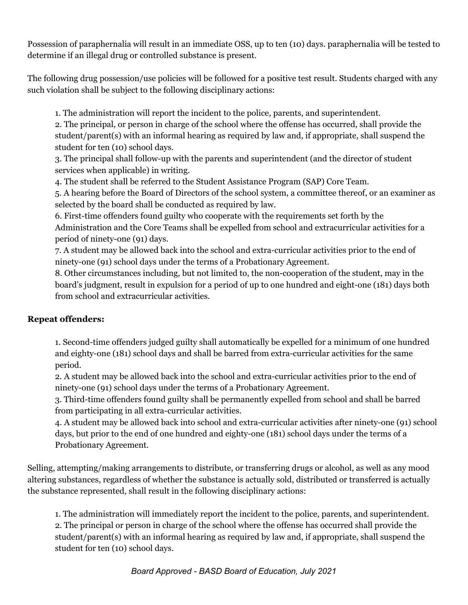Possession of paraphernalia will result in an immediate OSS, up to ten (10) days. paraphernalia will be tested to determine if an illegal drug or controlled substance is present.

The following drug possession/use policies will be followed for a positive test result. Students charged with any such violation shall be subject to the following disciplinary actions:

1. The administration will report the incident to the police, parents, and superintendent.

2. The principal, or person in charge of the school where the offense has occurred, shall provide the student/parent(s) with an informal hearing as required by law and, if appropriate, shall suspend the student for ten (10) school days.

3. The principal shall follow-up with the parents and superintendent (and the director of student services when applicable) in writing.

4. The student shall be referred to the Student Assistance Program (SAP) Core Team.

5. A hearing before the Board of Directors of the school system, a committee thereof, or an examiner as selected by the board shall be conducted as required by law.

6. First-time offenders found guilty who cooperate with the requirements set forth by the Administration and the Core Teams shall be expelled from school and extracurricular activities for a period of ninety-one (91) days.

7. A student may be allowed back into the school and extra-curricular activities prior to the end of ninety-one (91) school days under the terms of a Probationary Agreement.

8. Other circumstances including, but not limited to, the non-cooperation of the student, may in the board's judgment, result in expulsion for a period of up to one hundred and eight-one (181) days both from school and extracurricular activities.

#### **Repeat offenders:**

1. Second-time offenders judged guilty shall automatically be expelled for a minimum of one hundred and eighty-one (181) school days and shall be barred from extra-curricular activities for the same period.

2. A student may be allowed back into the school and extra-curricular activities prior to the end of ninety-one (91) school days under the terms of a Probationary Agreement.

3. Third-time offenders found guilty shall be permanently expelled from school and shall be barred from participating in all extra-curricular activities.

4. A student may be allowed back into school and extra-curricular activities after ninety-one (91) school days, but prior to the end of one hundred and eighty-one (181) school days under the terms of a Probationary Agreement.

Selling, attempting/making arrangements to distribute, or transferring drugs or alcohol, as well as any mood altering substances, regardless of whether the substance is actually sold, distributed or transferred is actually the substance represented, shall result in the following disciplinary actions:

1. The administration will immediately report the incident to the police, parents, and superintendent. 2. The principal or person in charge of the school where the offense has occurred shall provide the student/parent(s) with an informal hearing as required by law and, if appropriate, shall suspend the student for ten (10) school days.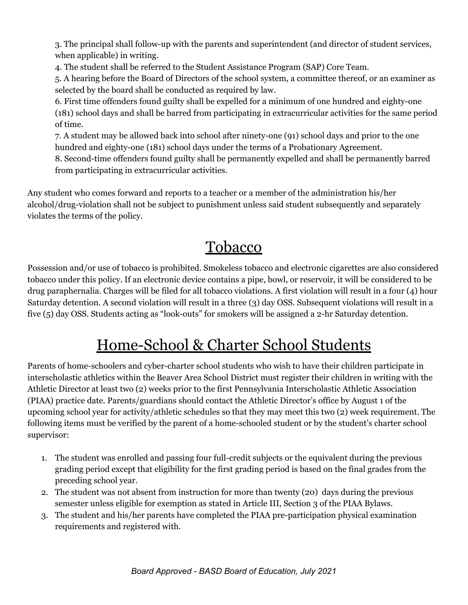3. The principal shall follow-up with the parents and superintendent (and director of student services, when applicable) in writing.

4. The student shall be referred to the Student Assistance Program (SAP) Core Team.

5. A hearing before the Board of Directors of the school system, a committee thereof, or an examiner as selected by the board shall be conducted as required by law.

6. First time offenders found guilty shall be expelled for a minimum of one hundred and eighty-one (181) school days and shall be barred from participating in extracurricular activities for the same period of time.

7. A student may be allowed back into school after ninety-one (91) school days and prior to the one hundred and eighty-one (181) school days under the terms of a Probationary Agreement.

8. Second-time offenders found guilty shall be permanently expelled and shall be permanently barred from participating in extracurricular activities.

Any student who comes forward and reports to a teacher or a member of the administration his/her alcohol/drug-violation shall not be subject to punishment unless said student subsequently and separately violates the terms of the policy.

#### Tobacco

Possession and/or use of tobacco is prohibited. Smokeless tobacco and electronic cigarettes are also considered tobacco under this policy. If an electronic device contains a pipe, bowl, or reservoir, it will be considered to be drug paraphernalia. Charges will be filed for all tobacco violations. A first violation will result in a four (4) hour Saturday detention. A second violation will result in a three (3) day OSS. Subsequent violations will result in a five (5) day OSS. Students acting as "look-outs" for smokers will be assigned a 2-hr Saturday detention.

# Home-School & Charter School Students

Parents of home-schoolers and cyber-charter school students who wish to have their children participate in interscholastic athletics within the Beaver Area School District must register their children in writing with the Athletic Director at least two (2) weeks prior to the first Pennsylvania Interscholastic Athletic Association (PIAA) practice date. Parents/guardians should contact the Athletic Director's office by August 1 of the upcoming school year for activity/athletic schedules so that they may meet this two (2) week requirement. The following items must be verified by the parent of a home-schooled student or by the student's charter school supervisor:

- 1. The student was enrolled and passing four full-credit subjects or the equivalent during the previous grading period except that eligibility for the first grading period is based on the final grades from the preceding school year.
- 2. The student was not absent from instruction for more than twenty (20) days during the previous semester unless eligible for exemption as stated in Article III, Section 3 of the PIAA Bylaws.
- 3. The student and his/her parents have completed the PIAA pre-participation physical examination requirements and registered with.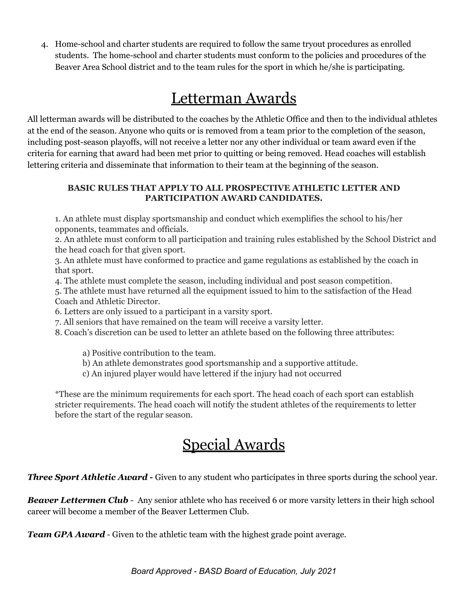4. Home-school and charter students are required to follow the same tryout procedures as enrolled students. The home-school and charter students must conform to the policies and procedures of the Beaver Area School district and to the team rules for the sport in which he/she is participating.

#### Letterman Awards

All letterman awards will be distributed to the coaches by the Athletic Office and then to the individual athletes at the end of the season. Anyone who quits or is removed from a team prior to the completion of the season, including post-season playoffs, will not receive a letter nor any other individual or team award even if the criteria for earning that award had been met prior to quitting or being removed. Head coaches will establish lettering criteria and disseminate that information to their team at the beginning of the season.

#### **BASIC RULES THAT APPLY TO ALL PROSPECTIVE ATHLETIC LETTER AND PARTICIPATION AWARD CANDIDATES.**

1. An athlete must display sportsmanship and conduct which exemplifies the school to his/her opponents, teammates and officials.

2. An athlete must conform to all participation and training rules established by the School District and the head coach for that given sport.

3. An athlete must have conformed to practice and game regulations as established by the coach in that sport.

4. The athlete must complete the season, including individual and post season competition.

5. The athlete must have returned all the equipment issued to him to the satisfaction of the Head Coach and Athletic Director.

6. Letters are only issued to a participant in a varsity sport.

7. All seniors that have remained on the team will receive a varsity letter.

8. Coach's discretion can be used to letter an athlete based on the following three attributes:

a) Positive contribution to the team.

b) An athlete demonstrates good sportsmanship and a supportive attitude.

c) An injured player would have lettered if the injury had not occurred

\*These are the minimum requirements for each sport. The head coach of each sport can establish stricter requirements. The head coach will notify the student athletes of the requirements to letter before the start of the regular season.

# Special Awards

*Three Sport Athletic Award -* Given to any student who participates in three sports during the school year.

*Beaver Lettermen Club* - Any senior athlete who has received 6 or more varsity letters in their high school career will become a member of the Beaver Lettermen Club.

*Team GPA Award* - Given to the athletic team with the highest grade point average.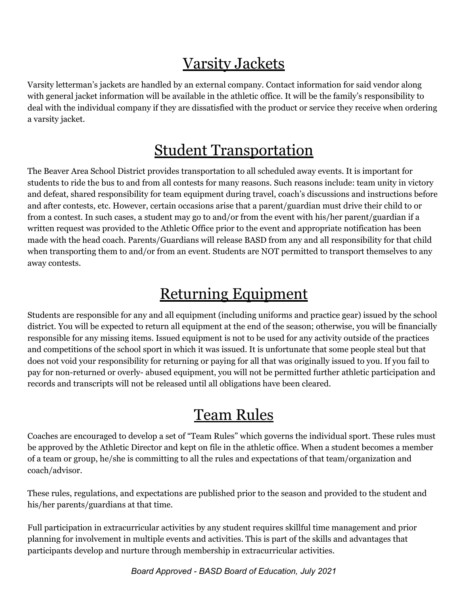## Varsity Jackets

Varsity letterman's jackets are handled by an external company. Contact information for said vendor along with general jacket information will be available in the athletic office. It will be the family's responsibility to deal with the individual company if they are dissatisfied with the product or service they receive when ordering a varsity jacket.

### Student Transportation

The Beaver Area School District provides transportation to all scheduled away events. It is important for students to ride the bus to and from all contests for many reasons. Such reasons include: team unity in victory and defeat, shared responsibility for team equipment during travel, coach's discussions and instructions before and after contests, etc. However, certain occasions arise that a parent/guardian must drive their child to or from a contest. In such cases, a student may go to and/or from the event with his/her parent/guardian if a written request was provided to the Athletic Office prior to the event and appropriate notification has been made with the head coach. Parents/Guardians will release BASD from any and all responsibility for that child when transporting them to and/or from an event. Students are NOT permitted to transport themselves to any away contests.

#### Returning Equipment

Students are responsible for any and all equipment (including uniforms and practice gear) issued by the school district. You will be expected to return all equipment at the end of the season; otherwise, you will be financially responsible for any missing items. Issued equipment is not to be used for any activity outside of the practices and competitions of the school sport in which it was issued. It is unfortunate that some people steal but that does not void your responsibility for returning or paying for all that was originally issued to you. If you fail to pay for non-returned or overly- abused equipment, you will not be permitted further athletic participation and records and transcripts will not be released until all obligations have been cleared.

### Team Rules

Coaches are encouraged to develop a set of "Team Rules" which governs the individual sport. These rules must be approved by the Athletic Director and kept on file in the athletic office. When a student becomes a member of a team or group, he/she is committing to all the rules and expectations of that team/organization and coach/advisor.

These rules, regulations, and expectations are published prior to the season and provided to the student and his/her parents/guardians at that time.

Full participation in extracurricular activities by any student requires skillful time management and prior planning for involvement in multiple events and activities. This is part of the skills and advantages that participants develop and nurture through membership in extracurricular activities.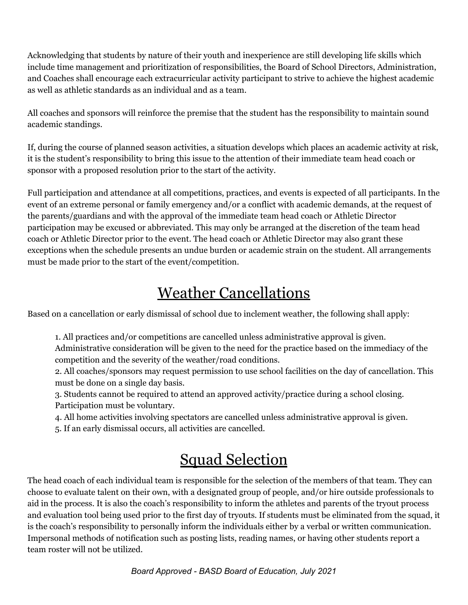Acknowledging that students by nature of their youth and inexperience are still developing life skills which include time management and prioritization of responsibilities, the Board of School Directors, Administration, and Coaches shall encourage each extracurricular activity participant to strive to achieve the highest academic as well as athletic standards as an individual and as a team.

All coaches and sponsors will reinforce the premise that the student has the responsibility to maintain sound academic standings.

If, during the course of planned season activities, a situation develops which places an academic activity at risk, it is the student's responsibility to bring this issue to the attention of their immediate team head coach or sponsor with a proposed resolution prior to the start of the activity.

Full participation and attendance at all competitions, practices, and events is expected of all participants. In the event of an extreme personal or family emergency and/or a conflict with academic demands, at the request of the parents/guardians and with the approval of the immediate team head coach or Athletic Director participation may be excused or abbreviated. This may only be arranged at the discretion of the team head coach or Athletic Director prior to the event. The head coach or Athletic Director may also grant these exceptions when the schedule presents an undue burden or academic strain on the student. All arrangements must be made prior to the start of the event/competition.

### Weather Cancellations

Based on a cancellation or early dismissal of school due to inclement weather, the following shall apply:

1. All practices and/or competitions are cancelled unless administrative approval is given. Administrative consideration will be given to the need for the practice based on the immediacy of the competition and the severity of the weather/road conditions.

2. All coaches/sponsors may request permission to use school facilities on the day of cancellation. This must be done on a single day basis.

- 3. Students cannot be required to attend an approved activity/practice during a school closing. Participation must be voluntary.
- 4. All home activities involving spectators are cancelled unless administrative approval is given.
- 5. If an early dismissal occurs, all activities are cancelled.

# Squad Selection

The head coach of each individual team is responsible for the selection of the members of that team. They can choose to evaluate talent on their own, with a designated group of people, and/or hire outside professionals to aid in the process. It is also the coach's responsibility to inform the athletes and parents of the tryout process and evaluation tool being used prior to the first day of tryouts. If students must be eliminated from the squad, it is the coach's responsibility to personally inform the individuals either by a verbal or written communication. Impersonal methods of notification such as posting lists, reading names, or having other students report a team roster will not be utilized.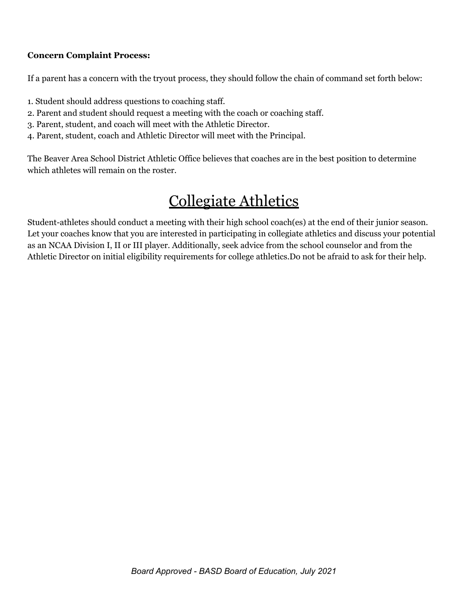#### **Concern Complaint Process:**

If a parent has a concern with the tryout process, they should follow the chain of command set forth below:

- 1. Student should address questions to coaching staff.
- 2. Parent and student should request a meeting with the coach or coaching staff.
- 3. Parent, student, and coach will meet with the Athletic Director.
- 4. Parent, student, coach and Athletic Director will meet with the Principal.

The Beaver Area School District Athletic Office believes that coaches are in the best position to determine which athletes will remain on the roster.

## Collegiate Athletics

Student-athletes should conduct a meeting with their high school coach(es) at the end of their junior season. Let your coaches know that you are interested in participating in collegiate athletics and discuss your potential as an NCAA Division I, II or III player. Additionally, seek advice from the school counselor and from the Athletic Director on initial eligibility requirements for college athletics.Do not be afraid to ask for their help.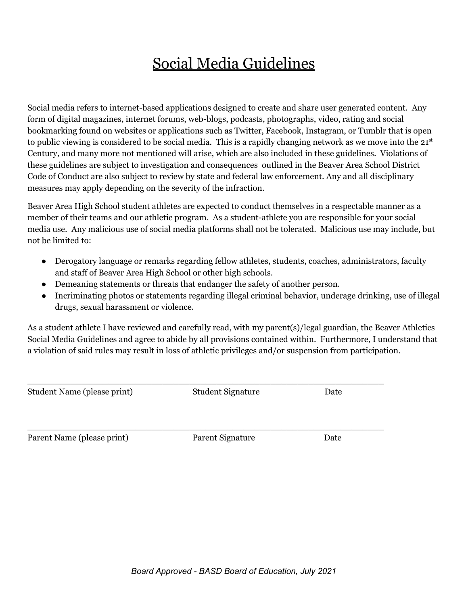# Social Media Guidelines

Social media refers to internet-based applications designed to create and share user generated content. Any form of digital magazines, internet forums, web-blogs, podcasts, photographs, video, rating and social bookmarking found on websites or applications such as Twitter, Facebook, Instagram, or Tumblr that is open to public viewing is considered to be social media. This is a rapidly changing network as we move into the 21st Century, and many more not mentioned will arise, which are also included in these guidelines. Violations of these guidelines are subject to investigation and consequences outlined in the Beaver Area School District Code of Conduct are also subject to review by state and federal law enforcement. Any and all disciplinary measures may apply depending on the severity of the infraction.

Beaver Area High School student athletes are expected to conduct themselves in a respectable manner as a member of their teams and our athletic program. As a student-athlete you are responsible for your social media use. Any malicious use of social media platforms shall not be tolerated. Malicious use may include, but not be limited to:

- Derogatory language or remarks regarding fellow athletes, students, coaches, administrators, faculty and staff of Beaver Area High School or other high schools.
- Demeaning statements or threats that endanger the safety of another person.
- Incriminating photos or statements regarding illegal criminal behavior, underage drinking, use of illegal drugs, sexual harassment or violence.

As a student athlete I have reviewed and carefully read, with my parent(s)/legal guardian, the Beaver Athletics Social Media Guidelines and agree to abide by all provisions contained within. Furthermore, I understand that a violation of said rules may result in loss of athletic privileges and/or suspension from participation.

Student Name (please print) Student Signature Date

 $\_$  , and the set of the set of the set of the set of the set of the set of the set of the set of the set of the set of the set of the set of the set of the set of the set of the set of the set of the set of the set of th

 $\_$  , and the set of the set of the set of the set of the set of the set of the set of the set of the set of the set of the set of the set of the set of the set of the set of the set of the set of the set of the set of th

Parent Name (please print) Parent Signature Date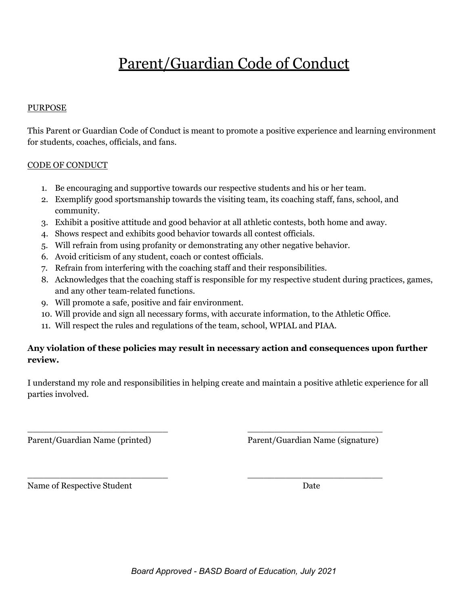# Parent/Guardian Code of Conduct

#### PURPOSE

This Parent or Guardian Code of Conduct is meant to promote a positive experience and learning environment for students, coaches, officials, and fans.

#### CODE OF CONDUCT

- 1. Be encouraging and supportive towards our respective students and his or her team.
- 2. Exemplify good sportsmanship towards the visiting team, its coaching staff, fans, school, and community.
- 3. Exhibit a positive attitude and good behavior at all athletic contests, both home and away.
- 4. Shows respect and exhibits good behavior towards all contest officials.
- 5. Will refrain from using profanity or demonstrating any other negative behavior.
- 6. Avoid criticism of any student, coach or contest officials.
- 7. Refrain from interfering with the coaching staff and their responsibilities.
- 8. Acknowledges that the coaching staff is responsible for my respective student during practices, games, and any other team-related functions.
- 9. Will promote a safe, positive and fair environment.
- 10. Will provide and sign all necessary forms, with accurate information, to the Athletic Office.
- 11. Will respect the rules and regulations of the team, school, WPIAL and PIAA.

#### **Any violation of these policies may result in necessary action and consequences upon further review.**

I understand my role and responsibilities in helping create and maintain a positive athletic experience for all parties involved.

\_\_\_\_\_\_\_\_\_\_\_\_\_\_\_\_\_\_\_\_\_\_\_\_\_\_ \_\_\_\_\_\_\_\_\_\_\_\_\_\_\_\_\_\_\_\_\_\_\_\_\_

\_\_\_\_\_\_\_\_\_\_\_\_\_\_\_\_\_\_\_\_\_\_\_\_\_\_ \_\_\_\_\_\_\_\_\_\_\_\_\_\_\_\_\_\_\_\_\_\_\_\_\_

Parent/Guardian Name (printed) Parent/Guardian Name (signature)

Name of Respective Student Date Date Date Date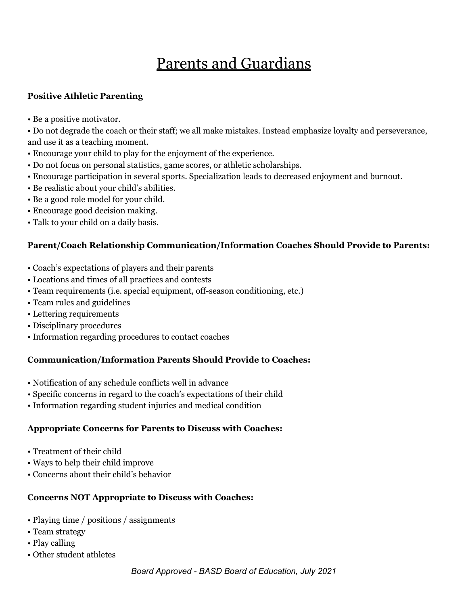# Parents and Guardians

#### **Positive Athletic Parenting**

• Be a positive motivator.

• Do not degrade the coach or their staff; we all make mistakes. Instead emphasize loyalty and perseverance, and use it as a teaching moment.

- Encourage your child to play for the enjoyment of the experience.
- Do not focus on personal statistics, game scores, or athletic scholarships.
- Encourage participation in several sports. Specialization leads to decreased enjoyment and burnout.
- Be realistic about your child's abilities.
- Be a good role model for your child.
- Encourage good decision making.
- Talk to your child on a daily basis.

#### **Parent/Coach Relationship Communication/Information Coaches Should Provide to Parents:**

- Coach's expectations of players and their parents
- Locations and times of all practices and contests
- Team requirements (i.e. special equipment, off-season conditioning, etc.)
- Team rules and guidelines
- Lettering requirements
- Disciplinary procedures
- Information regarding procedures to contact coaches

#### **Communication/Information Parents Should Provide to Coaches:**

- Notification of any schedule conflicts well in advance
- Specific concerns in regard to the coach's expectations of their child
- Information regarding student injuries and medical condition

#### **Appropriate Concerns for Parents to Discuss with Coaches:**

- Treatment of their child
- Ways to help their child improve
- Concerns about their child's behavior

#### **Concerns NOT Appropriate to Discuss with Coaches:**

- Playing time / positions / assignments
- Team strategy
- Play calling
- Other student athletes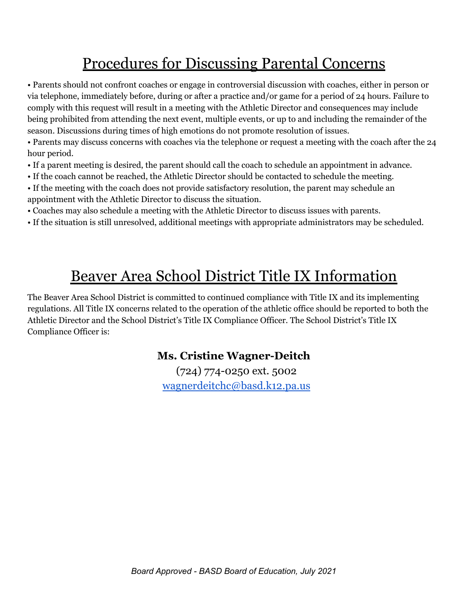# Procedures for Discussing Parental Concerns

• Parents should not confront coaches or engage in controversial discussion with coaches, either in person or via telephone, immediately before, during or after a practice and/or game for a period of 24 hours. Failure to comply with this request will result in a meeting with the Athletic Director and consequences may include being prohibited from attending the next event, multiple events, or up to and including the remainder of the season. Discussions during times of high emotions do not promote resolution of issues.

• Parents may discuss concerns with coaches via the telephone or request a meeting with the coach after the 24 hour period.

- If a parent meeting is desired, the parent should call the coach to schedule an appointment in advance.
- If the coach cannot be reached, the Athletic Director should be contacted to schedule the meeting.
- If the meeting with the coach does not provide satisfactory resolution, the parent may schedule an appointment with the Athletic Director to discuss the situation.
- Coaches may also schedule a meeting with the Athletic Director to discuss issues with parents.
- If the situation is still unresolved, additional meetings with appropriate administrators may be scheduled.

### Beaver Area School District Title IX Information

The Beaver Area School District is committed to continued compliance with Title IX and its implementing regulations. All Title IX concerns related to the operation of the athletic office should be reported to both the Athletic Director and the School District's Title IX Compliance Officer. The School District's Title IX Compliance Officer is:

#### **Ms. Cristine Wagner-Deitch**

(724) 774-0250 ext. 5002 wagnerdeitchc@basd.k12.pa.us